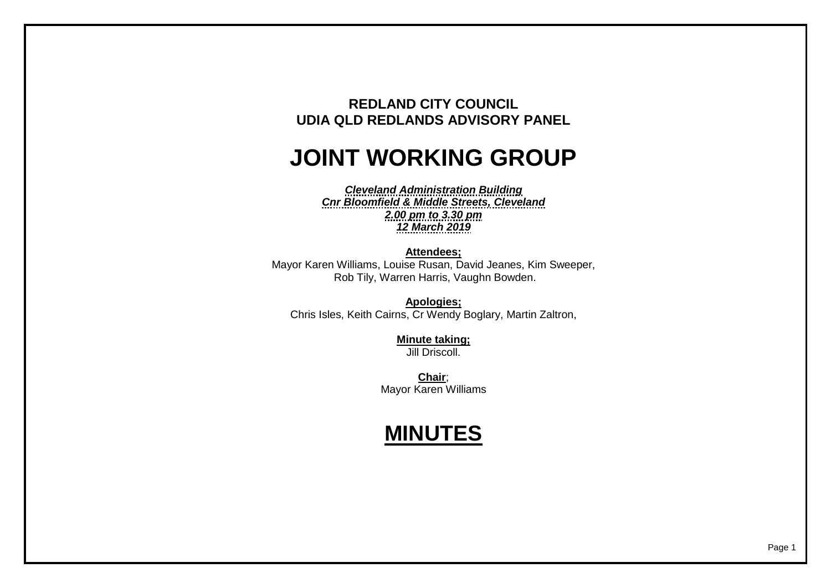## **REDLAND CITY COUNCIL UDIA QLD REDLANDS ADVISORY PANEL**

## **JOINT WORKING GROUP**

*Cleveland Administration Building Cnr Bloomfield & Middle Streets, Cleveland 2.00 pm to 3.30 pm 12 March 2019*

**Attendees;** Mayor Karen Williams, Louise Rusan, David Jeanes, Kim Sweeper, Rob Tily, Warren Harris, Vaughn Bowden.

**Apologies;** Chris Isles, Keith Cairns, Cr Wendy Boglary, Martin Zaltron,

> **Minute taking;** Jill Driscoll.

**Chair**; Mayor Karen Williams

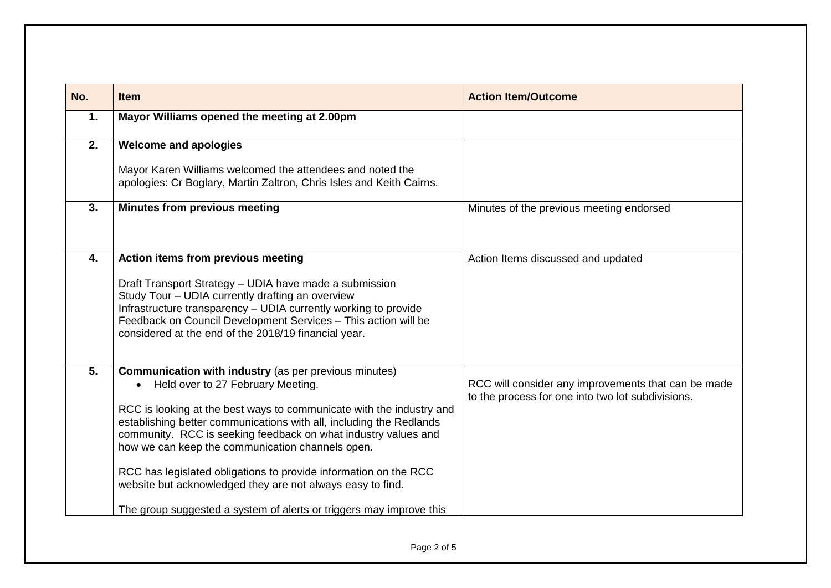| No. | <b>Item</b>                                                                                                                                                                                                                                                                                                                                                                                                                                                                                                                                                                                  | <b>Action Item/Outcome</b>                                                                               |
|-----|----------------------------------------------------------------------------------------------------------------------------------------------------------------------------------------------------------------------------------------------------------------------------------------------------------------------------------------------------------------------------------------------------------------------------------------------------------------------------------------------------------------------------------------------------------------------------------------------|----------------------------------------------------------------------------------------------------------|
| 1.  | Mayor Williams opened the meeting at 2.00pm                                                                                                                                                                                                                                                                                                                                                                                                                                                                                                                                                  |                                                                                                          |
| 2.  | <b>Welcome and apologies</b>                                                                                                                                                                                                                                                                                                                                                                                                                                                                                                                                                                 |                                                                                                          |
|     | Mayor Karen Williams welcomed the attendees and noted the<br>apologies: Cr Boglary, Martin Zaltron, Chris Isles and Keith Cairns.                                                                                                                                                                                                                                                                                                                                                                                                                                                            |                                                                                                          |
| 3.  | <b>Minutes from previous meeting</b>                                                                                                                                                                                                                                                                                                                                                                                                                                                                                                                                                         | Minutes of the previous meeting endorsed                                                                 |
| 4.  | Action items from previous meeting<br>Draft Transport Strategy - UDIA have made a submission<br>Study Tour - UDIA currently drafting an overview<br>Infrastructure transparency - UDIA currently working to provide<br>Feedback on Council Development Services - This action will be<br>considered at the end of the 2018/19 financial year.                                                                                                                                                                                                                                                | Action Items discussed and updated                                                                       |
| 5.  | <b>Communication with industry (as per previous minutes)</b><br>Held over to 27 February Meeting.<br>$\bullet$<br>RCC is looking at the best ways to communicate with the industry and<br>establishing better communications with all, including the Redlands<br>community. RCC is seeking feedback on what industry values and<br>how we can keep the communication channels open.<br>RCC has legislated obligations to provide information on the RCC<br>website but acknowledged they are not always easy to find.<br>The group suggested a system of alerts or triggers may improve this | RCC will consider any improvements that can be made<br>to the process for one into two lot subdivisions. |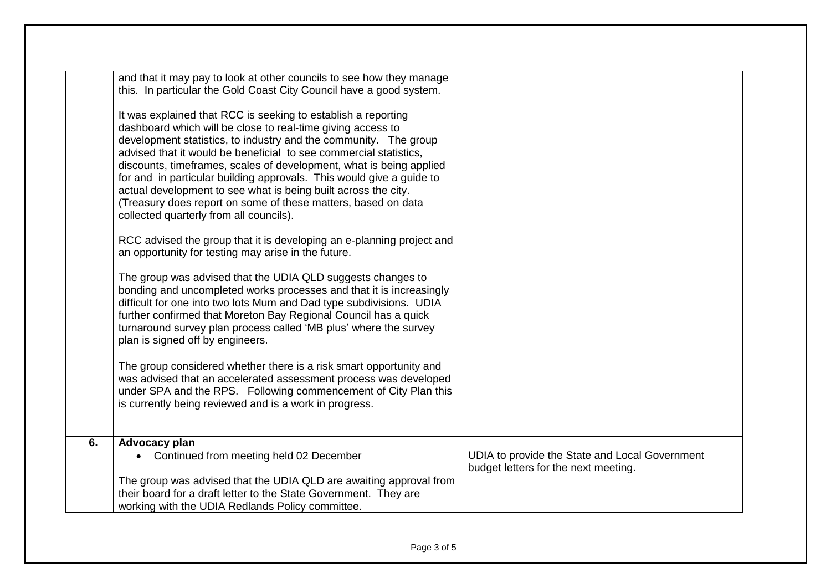|    | and that it may pay to look at other councils to see how they manage<br>this. In particular the Gold Coast City Council have a good system.<br>It was explained that RCC is seeking to establish a reporting<br>dashboard which will be close to real-time giving access to<br>development statistics, to industry and the community. The group<br>advised that it would be beneficial to see commercial statistics,<br>discounts, timeframes, scales of development, what is being applied<br>for and in particular building approvals. This would give a guide to<br>actual development to see what is being built across the city.<br>(Treasury does report on some of these matters, based on data<br>collected quarterly from all councils).<br>RCC advised the group that it is developing an e-planning project and<br>an opportunity for testing may arise in the future.<br>The group was advised that the UDIA QLD suggests changes to<br>bonding and uncompleted works processes and that it is increasingly<br>difficult for one into two lots Mum and Dad type subdivisions. UDIA<br>further confirmed that Moreton Bay Regional Council has a quick<br>turnaround survey plan process called 'MB plus' where the survey<br>plan is signed off by engineers.<br>The group considered whether there is a risk smart opportunity and<br>was advised that an accelerated assessment process was developed<br>under SPA and the RPS. Following commencement of City Plan this<br>is currently being reviewed and is a work in progress. |                                                |
|----|--------------------------------------------------------------------------------------------------------------------------------------------------------------------------------------------------------------------------------------------------------------------------------------------------------------------------------------------------------------------------------------------------------------------------------------------------------------------------------------------------------------------------------------------------------------------------------------------------------------------------------------------------------------------------------------------------------------------------------------------------------------------------------------------------------------------------------------------------------------------------------------------------------------------------------------------------------------------------------------------------------------------------------------------------------------------------------------------------------------------------------------------------------------------------------------------------------------------------------------------------------------------------------------------------------------------------------------------------------------------------------------------------------------------------------------------------------------------------------------------------------------------------------------------------|------------------------------------------------|
| 6. | Advocacy plan<br>• Continued from meeting held 02 December                                                                                                                                                                                                                                                                                                                                                                                                                                                                                                                                                                                                                                                                                                                                                                                                                                                                                                                                                                                                                                                                                                                                                                                                                                                                                                                                                                                                                                                                                       | UDIA to provide the State and Local Government |
|    | The group was advised that the UDIA QLD are awaiting approval from<br>their board for a draft letter to the State Government. They are<br>working with the UDIA Redlands Policy committee.                                                                                                                                                                                                                                                                                                                                                                                                                                                                                                                                                                                                                                                                                                                                                                                                                                                                                                                                                                                                                                                                                                                                                                                                                                                                                                                                                       | budget letters for the next meeting.           |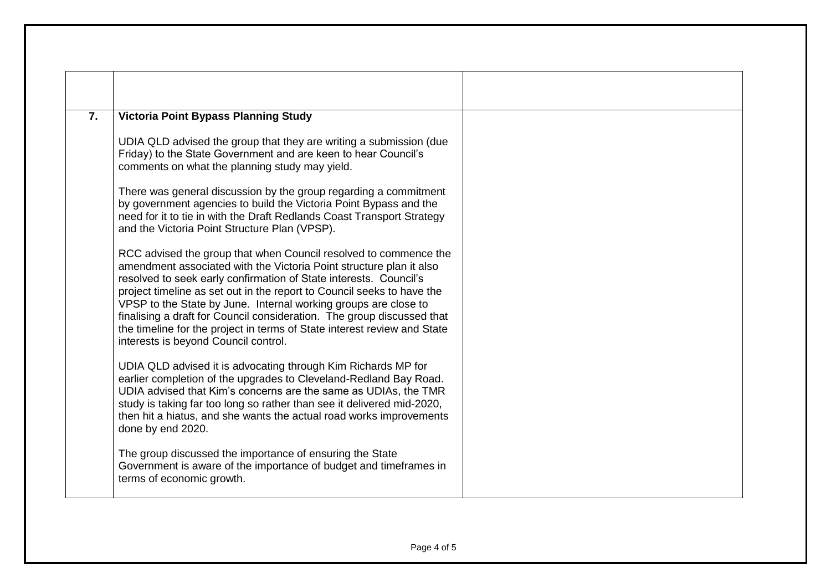| 7. | <b>Victoria Point Bypass Planning Study</b>                                                                                                                                                                                                                                                                                                                                                                                                                                                                                                             |  |
|----|---------------------------------------------------------------------------------------------------------------------------------------------------------------------------------------------------------------------------------------------------------------------------------------------------------------------------------------------------------------------------------------------------------------------------------------------------------------------------------------------------------------------------------------------------------|--|
|    | UDIA QLD advised the group that they are writing a submission (due<br>Friday) to the State Government and are keen to hear Council's<br>comments on what the planning study may yield.                                                                                                                                                                                                                                                                                                                                                                  |  |
|    | There was general discussion by the group regarding a commitment<br>by government agencies to build the Victoria Point Bypass and the<br>need for it to tie in with the Draft Redlands Coast Transport Strategy<br>and the Victoria Point Structure Plan (VPSP).                                                                                                                                                                                                                                                                                        |  |
|    | RCC advised the group that when Council resolved to commence the<br>amendment associated with the Victoria Point structure plan it also<br>resolved to seek early confirmation of State interests. Council's<br>project timeline as set out in the report to Council seeks to have the<br>VPSP to the State by June. Internal working groups are close to<br>finalising a draft for Council consideration. The group discussed that<br>the timeline for the project in terms of State interest review and State<br>interests is beyond Council control. |  |
|    | UDIA QLD advised it is advocating through Kim Richards MP for<br>earlier completion of the upgrades to Cleveland-Redland Bay Road.<br>UDIA advised that Kim's concerns are the same as UDIAs, the TMR<br>study is taking far too long so rather than see it delivered mid-2020,<br>then hit a hiatus, and she wants the actual road works improvements<br>done by end 2020.                                                                                                                                                                             |  |
|    | The group discussed the importance of ensuring the State<br>Government is aware of the importance of budget and timeframes in<br>terms of economic growth.                                                                                                                                                                                                                                                                                                                                                                                              |  |